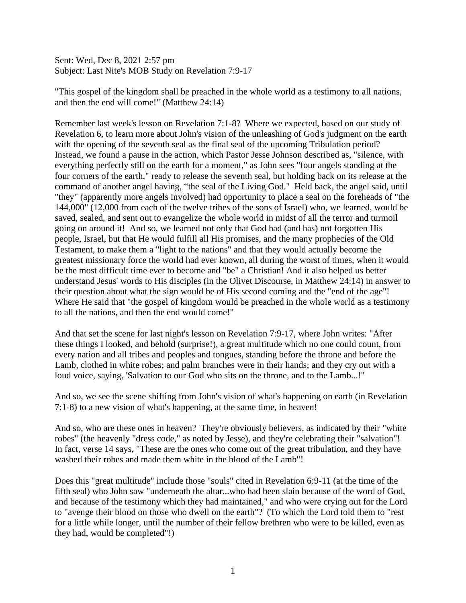Sent: Wed, Dec 8, 2021 2:57 pm Subject: Last Nite's MOB Study on Revelation 7:9-17

"This gospel of the kingdom shall be preached in the whole world as a testimony to all nations, and then the end will come!" (Matthew 24:14)

Remember last week's lesson on Revelation 7:1-8? Where we expected, based on our study of Revelation 6, to learn more about John's vision of the unleashing of God's judgment on the earth with the opening of the seventh seal as the final seal of the upcoming Tribulation period? Instead, we found a pause in the action, which Pastor Jesse Johnson described as, "silence, with everything perfectly still on the earth for a moment," as John sees "four angels standing at the four corners of the earth," ready to release the seventh seal, but holding back on its release at the command of another angel having, "the seal of the Living God." Held back, the angel said, until "they" (apparently more angels involved) had opportunity to place a seal on the foreheads of "the 144,000" (12,000 from each of the twelve tribes of the sons of Israel) who, we learned, would be saved, sealed, and sent out to evangelize the whole world in midst of all the terror and turmoil going on around it! And so, we learned not only that God had (and has) not forgotten His people, Israel, but that He would fulfill all His promises, and the many prophecies of the Old Testament, to make them a "light to the nations" and that they would actually become the greatest missionary force the world had ever known, all during the worst of times, when it would be the most difficult time ever to become and "be" a Christian! And it also helped us better understand Jesus' words to His disciples (in the Olivet Discourse, in Matthew 24:14) in answer to their question about what the sign would be of His second coming and the "end of the age"! Where He said that "the gospel of kingdom would be preached in the whole world as a testimony to all the nations, and then the end would come!"

And that set the scene for last night's lesson on Revelation 7:9-17, where John writes: "After these things I looked, and behold (surprise!), a great multitude which no one could count, from every nation and all tribes and peoples and tongues, standing before the throne and before the Lamb, clothed in white robes; and palm branches were in their hands; and they cry out with a loud voice, saying, 'Salvation to our God who sits on the throne, and to the Lamb...!"

And so, we see the scene shifting from John's vision of what's happening on earth (in Revelation 7:1-8) to a new vision of what's happening, at the same time, in heaven!

And so, who are these ones in heaven? They're obviously believers, as indicated by their "white robes" (the heavenly "dress code," as noted by Jesse), and they're celebrating their "salvation"! In fact, verse 14 says, "These are the ones who come out of the great tribulation, and they have washed their robes and made them white in the blood of the Lamb"!

Does this "great multitude" include those "souls" cited in Revelation 6:9-11 (at the time of the fifth seal) who John saw "underneath the altar...who had been slain because of the word of God, and because of the testimony which they had maintained," and who were crying out for the Lord to "avenge their blood on those who dwell on the earth"? (To which the Lord told them to "rest for a little while longer, until the number of their fellow brethren who were to be killed, even as they had, would be completed"!)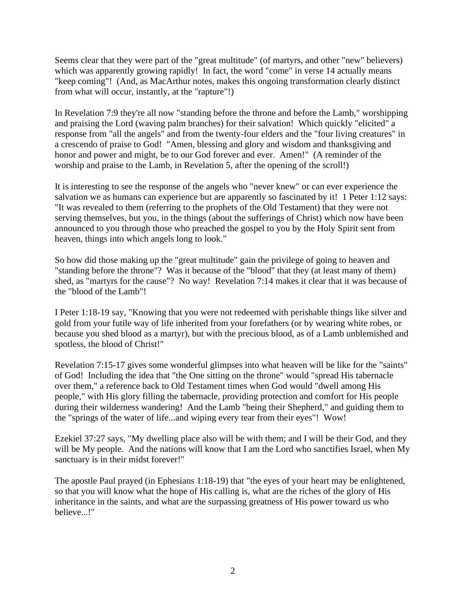Seems clear that they were part of the "great multitude" (of martyrs, and other "new" believers) which was apparently growing rapidly! In fact, the word "come" in verse 14 actually means "keep coming"! (And, as MacArthur notes, makes this ongoing transformation clearly distinct from what will occur, instantly, at the "rapture"!)

In Revelation 7:9 they're all now "standing before the throne and before the Lamb," worshipping and praising the Lord (waving palm branches) for their salvation! Which quickly "elicited" a response from "all the angels" and from the twenty-four elders and the "four living creatures" in a crescendo of praise to God! "Amen, blessing and glory and wisdom and thanksgiving and honor and power and might, be to our God forever and ever. Amen!" (A reminder of the worship and praise to the Lamb, in Revelation 5, after the opening of the scroll!)

It is interesting to see the response of the angels who "never knew" or can ever experience the salvation we as humans can experience but are apparently so fascinated by it! 1 Peter 1:12 says: "It was revealed to them (referring to the prophets of the Old Testament) that they were not serving themselves, but you, in the things (about the sufferings of Christ) which now have been announced to you through those who preached the gospel to you by the Holy Spirit sent from heaven, things into which angels long to look."

So how did those making up the "great multitude" gain the privilege of going to heaven and "standing before the throne"? Was it because of the "blood" that they (at least many of them) shed, as "martyrs for the cause"? No way! Revelation 7:14 makes it clear that it was because of the "blood of the Lamb"!

I Peter 1:18-19 say, "Knowing that you were not redeemed with perishable things like silver and gold from your futile way of life inherited from your forefathers (or by wearing white robes, or because you shed blood as a martyr), but with the precious blood, as of a Lamb unblemished and spotless, the blood of Christ!"

Revelation 7:15-17 gives some wonderful glimpses into what heaven will be like for the "saints" of God! Including the idea that "the One sitting on the throne" would "spread His tabernacle over them," a reference back to Old Testament times when God would "dwell among His people," with His glory filling the tabernacle, providing protection and comfort for His people during their wilderness wandering! And the Lamb "being their Shepherd," and guiding them to the "springs of the water of life...and wiping every tear from their eyes"! Wow!

Ezekiel 37:27 says, "My dwelling place also will be with them; and I will be their God, and they will be My people. And the nations will know that I am the Lord who sanctifies Israel, when My sanctuary is in their midst forever!"

The apostle Paul prayed (in Ephesians 1:18-19) that "the eyes of your heart may be enlightened, so that you will know what the hope of His calling is, what are the riches of the glory of His inheritance in the saints, and what are the surpassing greatness of His power toward us who believe...!"